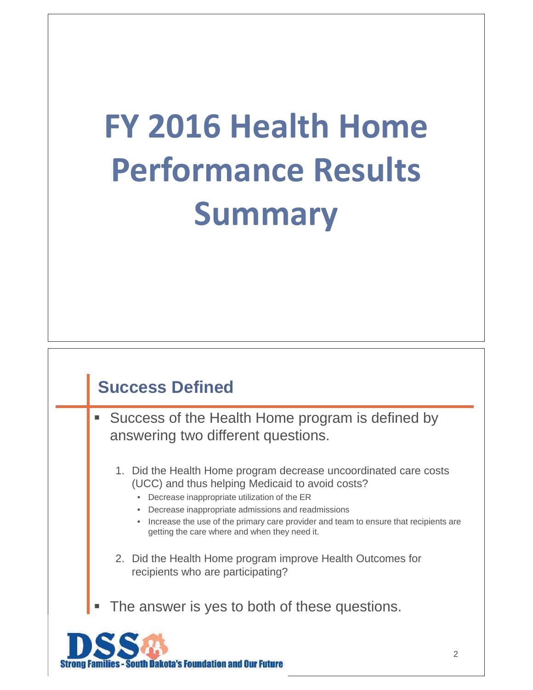# **FY 2016 Health Home Performance Results Summary**

### **Success Defined**

**Success of the Health Home program is defined by** answering two different questions.

- 1. Did the Health Home program decrease uncoordinated care costs (UCC) and thus helping Medicaid to avoid costs?
	- Decrease inappropriate utilization of the ER
	- Decrease inappropriate admissions and readmissions
	- Increase the use of the primary care provider and team to ensure that recipients are getting the care where and when they need it.
- 2. Did the Health Home program improve Health Outcomes for recipients who are participating?
- The answer is yes to both of these questions.



г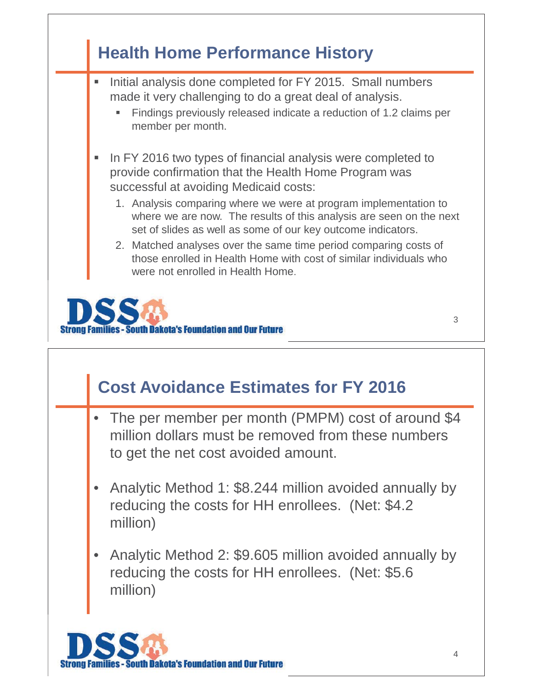

### **Cost Avoidance Estimates for FY 2016**

- The per member per month (PMPM) cost of around \$4 million dollars must be removed from these numbers to get the net cost avoided amount.
- • Analytic Method 1: \$8.244 million avoided annually by reducing the costs for HH enrollees. (Net: \$4.2 million)
- • Analytic Method 2: \$9.605 million avoided annually by reducing the costs for HH enrollees. (Net: \$5.6 million)

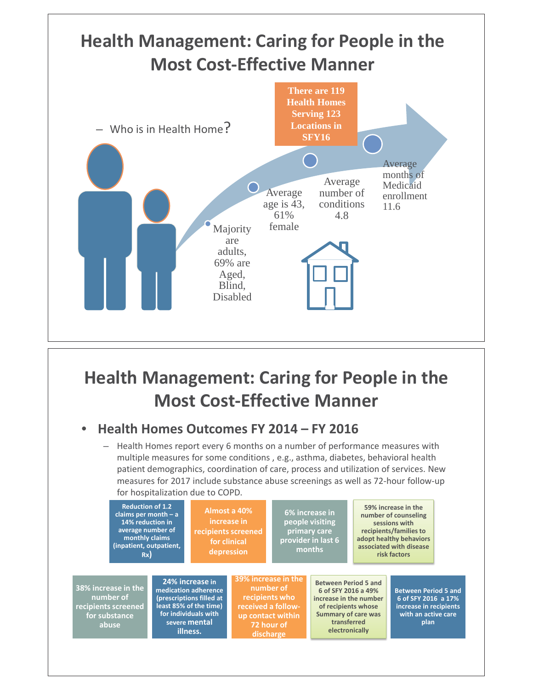

### **Health Management: Caring for People in the Most Cost-Effective Manner**

#### •**Health Homes Outcomes FY 2014 – FY 2016**

– Health Homes report every 6 months on a number of performance measures with multiple measures for some conditions , e.g., asthma, diabetes, behavioral health patient demographics, coordination of care, process and utilization of services. New measures for 2017 include substance abuse screenings as well as 72-hour follow-up for hospitalization due to COPD.

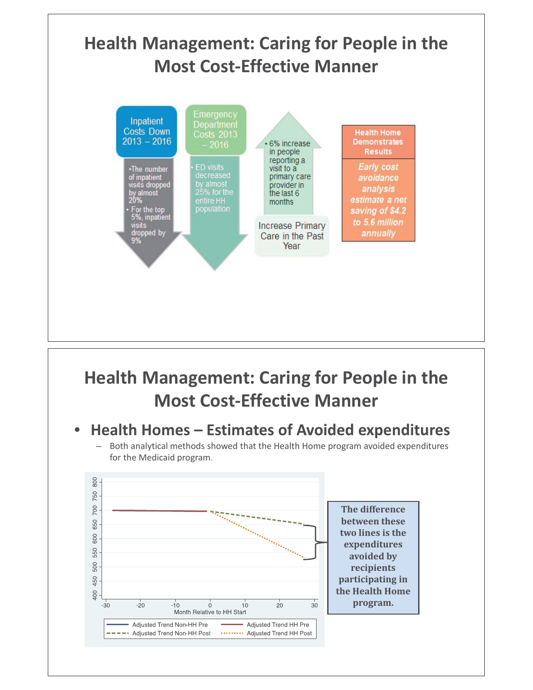

### **Health Management: Caring for People in the Most Cost-Effective Manner**

#### •**Health Homes – Estimates of Avoided expenditures**

– Both analytical methods showed that the Health Home program avoided expenditures for the Medicaid program.